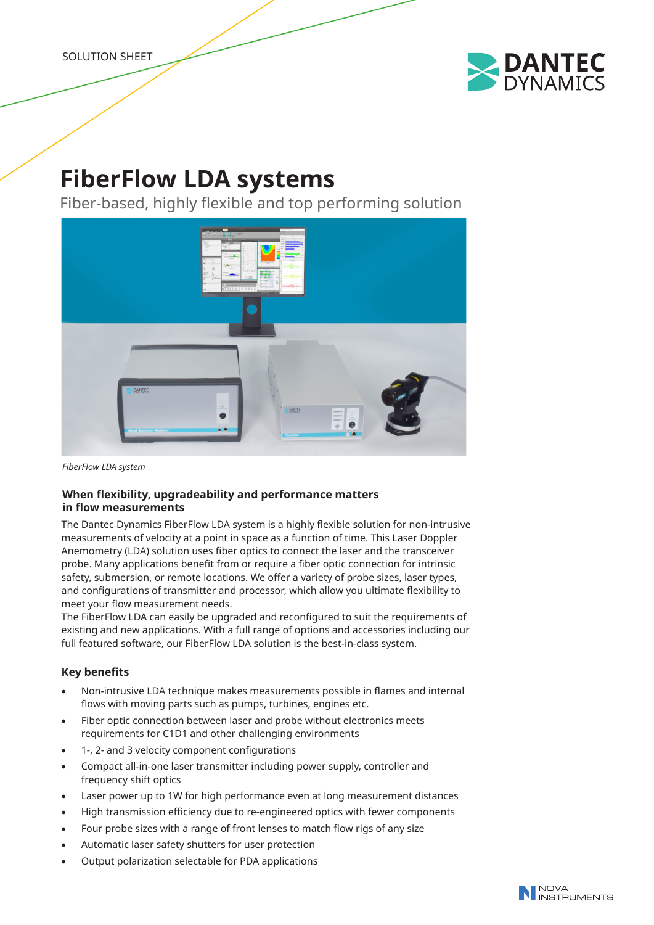

# **FiberFlow LDA systems**

Fiber-based, highly flexible and top performing solution



*FiberFlow LDA system*

## **When flexibility, upgradeability and performance matters in flow measurements**

The Dantec Dynamics FiberFlow LDA system is a highly flexible solution for non-intrusive measurements of velocity at a point in space as a function of time. This Laser Doppler Anemometry (LDA) solution uses fiber optics to connect the laser and the transceiver probe. Many applications benefit from or require a fiber optic connection for intrinsic safety, submersion, or remote locations. We offer a variety of probe sizes, laser types, and configurations of transmitter and processor, which allow you ultimate flexibility to meet your flow measurement needs.

The FiberFlow LDA can easily be upgraded and reconfigured to suit the requirements of existing and new applications. With a full range of options and accessories including our full featured software, our FiberFlow LDA solution is the best-in-class system.

## **Key benefits**

- Non-intrusive LDA technique makes measurements possible in flames and internal flows with moving parts such as pumps, turbines, engines etc.
- Fiber optic connection between laser and probe without electronics meets requirements for C1D1 and other challenging environments
- 1-, 2- and 3 velocity component configurations
- Compact all-in-one laser transmitter including power supply, controller and frequency shift optics
- Laser power up to 1W for high performance even at long measurement distances
- High transmission efficiency due to re-engineered optics with fewer components
- Four probe sizes with a range of front lenses to match flow rigs of any size
- Automatic laser safety shutters for user protection
- Output polarization selectable for PDA applications

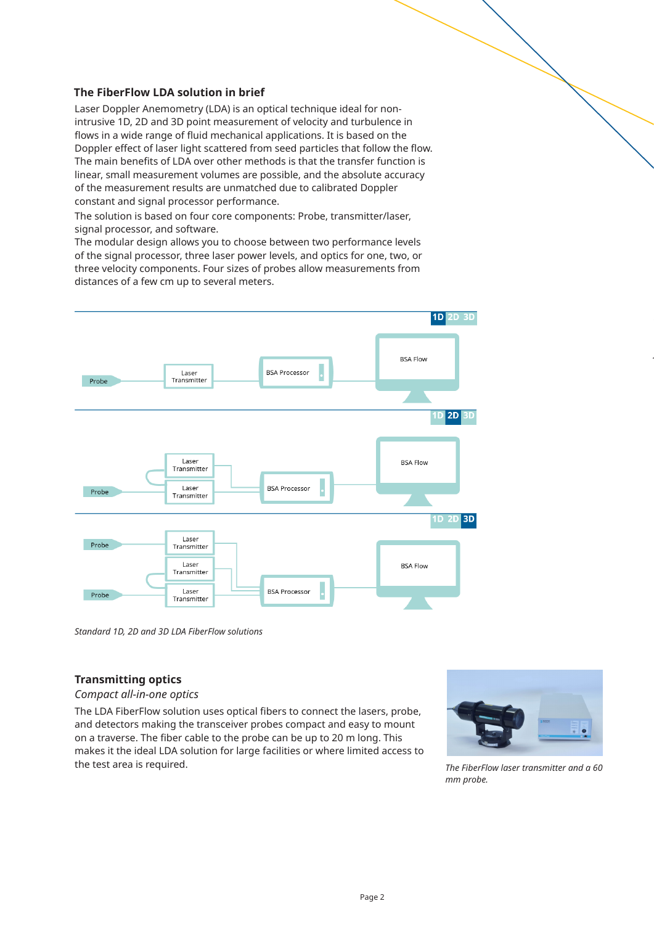## **The FiberFlow LDA solution in brief**

Laser Doppler Anemometry (LDA) is an optical technique ideal for nonintrusive 1D, 2D and 3D point measurement of velocity and turbulence in flows in a wide range of fluid mechanical applications. It is based on the Doppler effect of laser light scattered from seed particles that follow the flow. The main benefits of LDA over other methods is that the transfer function is linear, small measurement volumes are possible, and the absolute accuracy of the measurement results are unmatched due to calibrated Doppler constant and signal processor performance.

The solution is based on four core components: Probe, transmitter/laser, signal processor, and software.

The modular design allows you to choose between two performance levels of the signal processor, three laser power levels, and optics for one, two, or three velocity components. Four sizes of probes allow measurements from distances of a few cm up to several meters.



*Standard 1D, 2D and 3D LDA FiberFlow solutions*

### **Transmitting optics**

#### *Compact all-in-one optics*

The LDA FiberFlow solution uses optical fibers to connect the lasers, probe, and detectors making the transceiver probes compact and easy to mount on a traverse. The fiber cable to the probe can be up to 20 m long. This makes it the ideal LDA solution for large facilities or where limited access to the test area is required.



*flow. TU Freiberg\**

*The FiberFlow laser transmitter and a 60 mm probe.*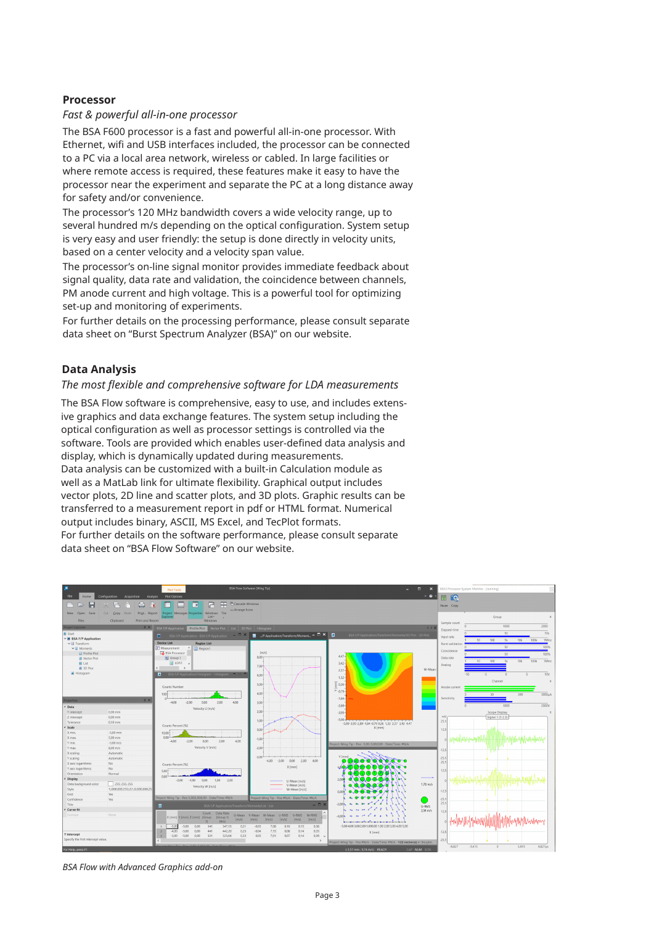#### **Processor**

#### *Fast & powerful all-in-one processor*

The BSA F600 processor is a fast and powerful all-in-one processor. With Ethernet, wifi and USB interfaces included, the processor can be connected to a PC via a local area network, wireless or cabled. In large facilities or where remote access is required, these features make it easy to have the processor near the experiment and separate the PC at a long distance away for safety and/or convenience.

The processor's 120 MHz bandwidth covers a wide velocity range, up to several hundred m/s depending on the optical configuration. System setup is very easy and user friendly: the setup is done directly in velocity units, based on a center velocity and a velocity span value.

The processor's on-line signal monitor provides immediate feedback about signal quality, data rate and validation, the coincidence between channels, PM anode current and high voltage. This is a powerful tool for optimizing set-up and monitoring of experiments.

For further details on the processing performance, please consult separate data sheet on "Burst Spectrum Analyzer (BSA)" on our website.

#### **Data Analysis**

#### *The most flexible and comprehensive software for LDA measurements*

The BSA Flow software is comprehensive, easy to use, and includes extensive graphics and data exchange features. The system setup including the optical configuration as well as processor settings is controlled via the software. Tools are provided which enables user-defined data analysis and display, which is dynamically updated during measurements. Data analysis can be customized with a built-in Calculation module as well as a MatLab link for ultimate flexibility. Graphical output includes vector plots, 2D line and scatter plots, and 3D plots. Graphic results can be transferred to a measurement report in pdf or HTML format. Numerical output includes binary, ASCII, MS Excel, and TecPlot formats. For further details on the software performance, please consult separate data sheet on "BSA Flow Software" on our website.



*BSA Flow with Advanced Graphics add-on*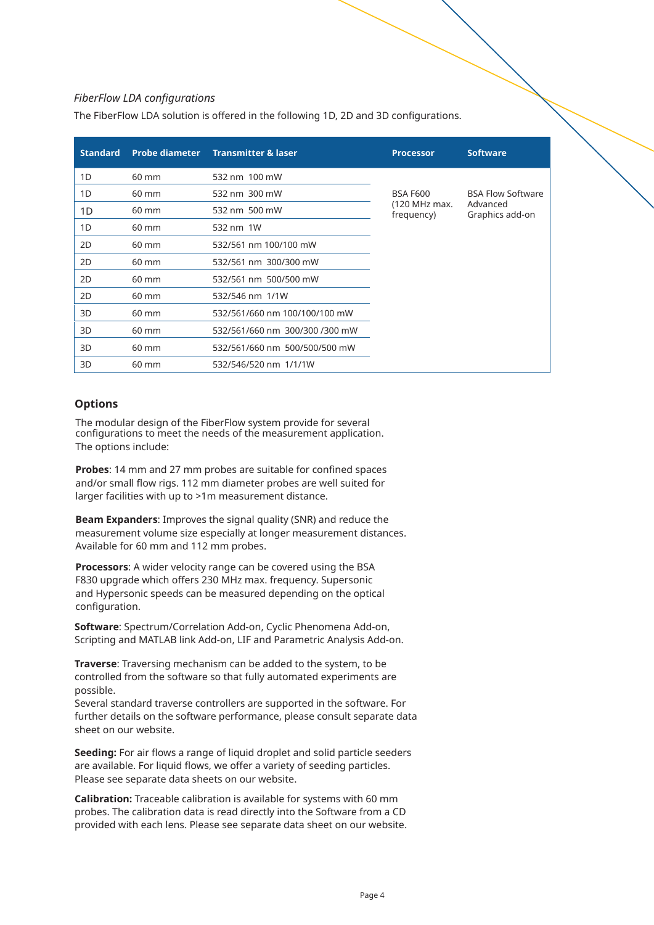#### *FiberFlow LDA configurations*

The FiberFlow LDA solution is offered in the following 1D, 2D and 3D configurations.

| <b>Standard</b> | <b>Probe diameter</b> | <b>Transmitter &amp; laser</b> | <b>Processor</b>            | <b>Software</b>             |
|-----------------|-----------------------|--------------------------------|-----------------------------|-----------------------------|
| 1D              | 60 mm                 | 532 nm 100 mW                  |                             |                             |
| 1D              | 60 mm                 | 532 nm 300 mW                  | <b>BSA F600</b>             | <b>BSA Flow Software</b>    |
| 1D              | $60 \text{ mm}$       | 532 nm 500 mW                  | (120 MHz max.<br>frequency) | Advanced<br>Graphics add-on |
| 1D              | $60 \text{ mm}$       | 532 nm 1W                      |                             |                             |
| 2D              | 60 mm                 | 532/561 nm 100/100 mW          |                             |                             |
| 2D              | 60 mm                 | 532/561 nm 300/300 mW          |                             |                             |
| 2D              | 60 mm                 | 532/561 nm 500/500 mW          |                             |                             |
| 2D              | $60 \text{ mm}$       | 532/546 nm 1/1W                |                             |                             |
| 3D              | 60 mm                 | 532/561/660 nm 100/100/100 mW  |                             |                             |
| 3D              | 60 mm                 | 532/561/660 nm 300/300 /300 mW |                             |                             |
| 3D              | 60 mm                 | 532/561/660 nm 500/500/500 mW  |                             |                             |
| 3D              | 60 mm                 | 532/546/520 nm 1/1/1W          |                             |                             |

#### **Options**

The modular design of the FiberFlow system provide for several configurations to meet the needs of the measurement application. The options include:

**Probes**: 14 mm and 27 mm probes are suitable for confined spaces and/or small flow rigs. 112 mm diameter probes are well suited for larger facilities with up to >1m measurement distance.

**Beam Expanders**: Improves the signal quality (SNR) and reduce the measurement volume size especially at longer measurement distances. Available for 60 mm and 112 mm probes.

**Processors**: A wider velocity range can be covered using the BSA F830 upgrade which offers 230 MHz max. frequency. Supersonic and Hypersonic speeds can be measured depending on the optical configuration.

**Software**: Spectrum/Correlation Add-on, Cyclic Phenomena Add-on, Scripting and MATLAB link Add-on, LIF and Parametric Analysis Add-on.

**Traverse**: Traversing mechanism can be added to the system, to be controlled from the software so that fully automated experiments are possible.

Several standard traverse controllers are supported in the software. For further details on the software performance, please consult separate data sheet on our website.

**Seeding:** For air flows a range of liquid droplet and solid particle seeders are available. For liquid flows, we offer a variety of seeding particles. Please see separate data sheets on our website.

**Calibration:** Traceable calibration is available for systems with 60 mm probes. The calibration data is read directly into the Software from a CD provided with each lens. Please see separate data sheet on our website.